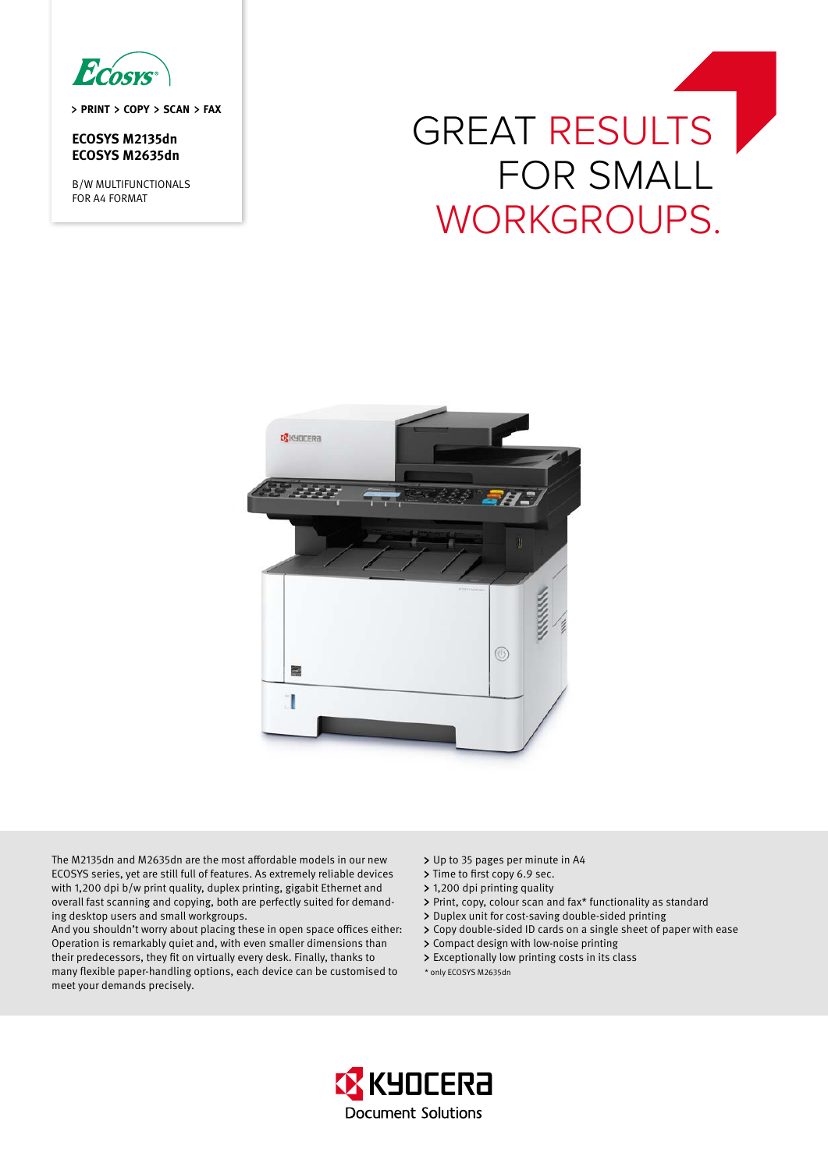Ecosys

> PRINT > COPY > SCAN > FAX

# **ECOSYS M2135dn ECOSYS M2635dn**

B/W MULTIFUNCTIONALS FOR A4 FORMAT

# GREAT RESULTS for smalL workgroups.



The M2135dn and M2635dn are the most affordable models in our new ECOSYS series, yet are still full of features. As extremely reliable devices with 1,200 dpi b/w print quality, duplex printing, gigabit Ethernet and overall fast scanning and copying, both are perfectly suited for demanding desktop users and small workgroups.

And you shouldn't worry about placing these in open space offices either: Operation is remarkably quiet and, with even smaller dimensions than their predecessors, they fit on virtually every desk. Finally, thanks to many flexible paper-handling options, each device can be customised to meet your demands precisely.

- > Up to 35 pages per minute in A4
- > Time to first copy 6.9 sec.
- 1,200 dpi printing quality
- Print, copy, colour scan and fax\* functionality as standard
- > Duplex unit for cost-saving double-sided printing
- > Copy double-sided ID cards on a single sheet of paper with ease
- Compact design with low-noise printing
- Exceptionally low printing costs in its class
- \* only ECOSYS M2635dn